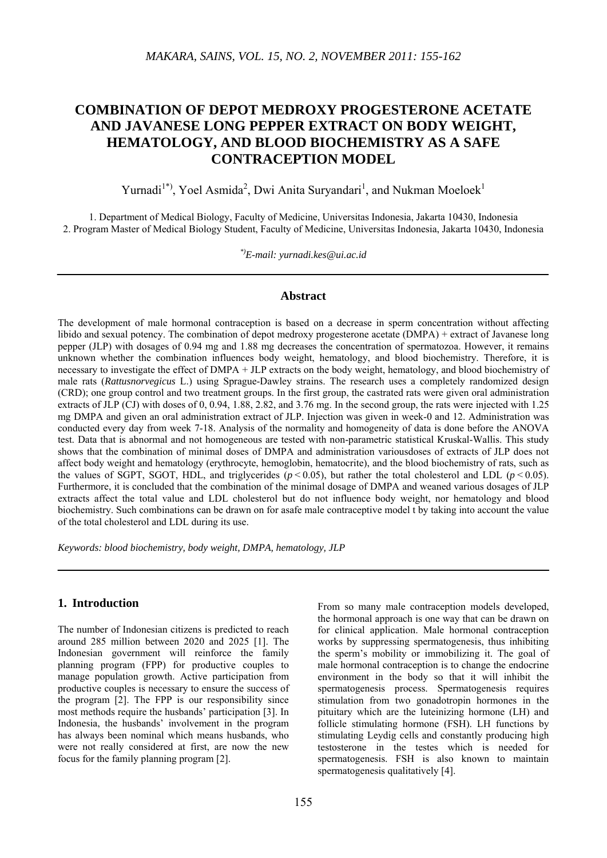# **COMBINATION OF DEPOT MEDROXY PROGESTERONE ACETATE AND JAVANESE LONG PEPPER EXTRACT ON BODY WEIGHT, HEMATOLOGY, AND BLOOD BIOCHEMISTRY AS A SAFE CONTRACEPTION MODEL**

Yurnadi<sup>1\*)</sup>, Yoel Asmida<sup>2</sup>, Dwi Anita Suryandari<sup>1</sup>, and Nukman Moeloek<sup>1</sup>

1. Department of Medical Biology, Faculty of Medicine, Universitas Indonesia, Jakarta 10430, Indonesia 2. Program Master of Medical Biology Student, Faculty of Medicine, Universitas Indonesia, Jakarta 10430, Indonesia

*\*)E-mail: yurnadi.kes@ui.ac.id*

# **Abstract**

The development of male hormonal contraception is based on a decrease in sperm concentration without affecting libido and sexual potency. The combination of depot medroxy progesterone acetate (DMPA) + extract of Javanese long pepper (JLP) with dosages of 0.94 mg and 1.88 mg decreases the concentration of spermatozoa. However, it remains unknown whether the combination influences body weight, hematology, and blood biochemistry. Therefore, it is necessary to investigate the effect of DMPA + JLP extracts on the body weight, hematology, and blood biochemistry of male rats (*Rattusnorvegicus* L.) using Sprague-Dawley strains. The research uses a completely randomized design (CRD); one group control and two treatment groups. In the first group, the castrated rats were given oral administration extracts of JLP (CJ) with doses of 0, 0.94, 1.88, 2.82, and 3.76 mg. In the second group, the rats were injected with 1.25 mg DMPA and given an oral administration extract of JLP. Injection was given in week-0 and 12. Administration was conducted every day from week 7-18. Analysis of the normality and homogeneity of data is done before the ANOVA test. Data that is abnormal and not homogeneous are tested with non-parametric statistical Kruskal-Wallis. This study shows that the combination of minimal doses of DMPA and administration variousdoses of extracts of JLP does not affect body weight and hematology (erythrocyte, hemoglobin, hematocrite), and the blood biochemistry of rats, such as the values of SGPT, SGOT, HDL, and triglycerides  $(p < 0.05)$ , but rather the total cholesterol and LDL  $(p < 0.05)$ . Furthermore, it is concluded that the combination of the minimal dosage of DMPA and weaned various dosages of JLP extracts affect the total value and LDL cholesterol but do not influence body weight, nor hematology and blood biochemistry. Such combinations can be drawn on for asafe male contraceptive model t by taking into account the value of the total cholesterol and LDL during its use.

*Keywords: blood biochemistry, body weight, DMPA, hematology, JLP*

# **1. Introduction**

The number of Indonesian citizens is predicted to reach around 285 million between 2020 and 2025 [1]. The Indonesian government will reinforce the family planning program (FPP) for productive couples to manage population growth. Active participation from productive couples is necessary to ensure the success of the program [2]. The FPP is our responsibility since most methods require the husbands' participation [3]. In Indonesia, the husbands' involvement in the program has always been nominal which means husbands, who were not really considered at first, are now the new focus for the family planning program [2].

From so many male contraception models developed. the hormonal approach is one way that can be drawn on for clinical application. Male hormonal contraception works by suppressing spermatogenesis, thus inhibiting the sperm's mobility or immobilizing it. The goal of male hormonal contraception is to change the endocrine environment in the body so that it will inhibit the spermatogenesis process. Spermatogenesis requires stimulation from two gonadotropin hormones in the pituitary which are the luteinizing hormone (LH) and follicle stimulating hormone (FSH). LH functions by stimulating Leydig cells and constantly producing high testosterone in the testes which is needed for spermatogenesis. FSH is also known to maintain spermatogenesis qualitatively [4].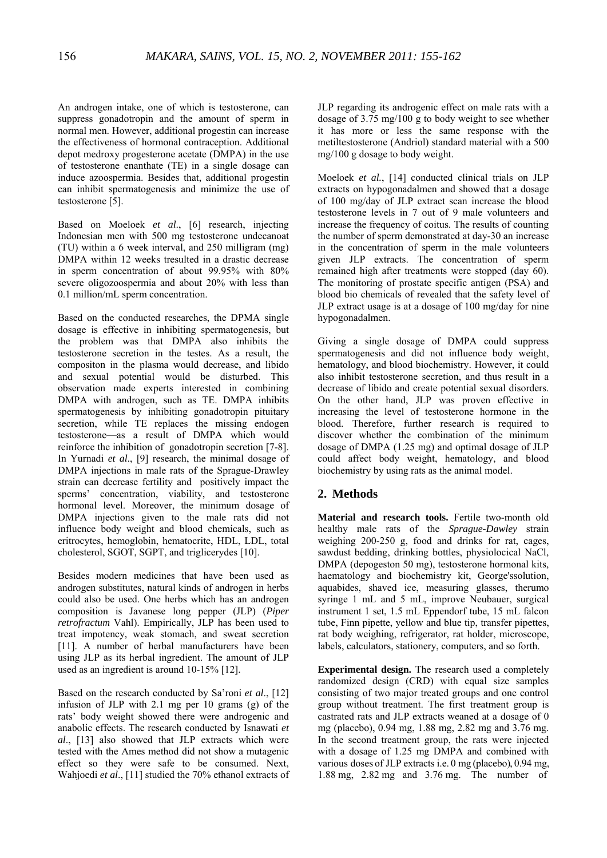An androgen intake, one of which is testosterone, can suppress gonadotropin and the amount of sperm in normal men. However, additional progestin can increase the effectiveness of hormonal contraception. Additional depot medroxy progesterone acetate (DMPA) in the use of testosterone enanthate (TE) in a single dosage can induce azoospermia. Besides that, additional progestin can inhibit spermatogenesis and minimize the use of testosterone [5].

Based on Moeloek *et al*., [6] research, injecting Indonesian men with 500 mg testosterone undecanoat (TU) within a 6 week interval, and 250 milligram (mg) DMPA within 12 weeks tresulted in a drastic decrease in sperm concentration of about 99.95% with 80% severe oligozoospermia and about 20% with less than 0.1 million/mL sperm concentration.

Based on the conducted researches, the DPMA single dosage is effective in inhibiting spermatogenesis, but the problem was that DMPA also inhibits the testosterone secretion in the testes. As a result, the compositon in the plasma would decrease, and libido and sexual potential would be disturbed. This observation made experts interested in combining DMPA with androgen, such as TE. DMPA inhibits spermatogenesis by inhibiting gonadotropin pituitary secretion, while TE replaces the missing endogen testosterone—as a result of DMPA which would reinforce the inhibition of gonadotropin secretion [7-8]. In Yurnadi *et al*., [9] research, the minimal dosage of DMPA injections in male rats of the Sprague-Drawley strain can decrease fertility and positively impact the sperms' concentration, viability, and testosterone hormonal level. Moreover, the minimum dosage of DMPA injections given to the male rats did not influence body weight and blood chemicals, such as eritrocytes, hemoglobin, hematocrite, HDL, LDL, total cholesterol, SGOT, SGPT, and triglicerydes [10].

Besides modern medicines that have been used as androgen substitutes, natural kinds of androgen in herbs could also be used. One herbs which has an androgen composition is Javanese long pepper (JLP) (*Piper retrofractum* Vahl). Empirically, JLP has been used to treat impotency, weak stomach, and sweat secretion [11]. A number of herbal manufacturers have been using JLP as its herbal ingredient. The amount of JLP used as an ingredient is around 10-15% [12].

Based on the research conducted by Sa'roni *et al*., [12] infusion of JLP with 2.1 mg per 10 grams (g) of the rats' body weight showed there were androgenic and anabolic effects. The research conducted by Isnawati *et al*., [13] also showed that JLP extracts which were tested with the Ames method did not show a mutagenic effect so they were safe to be consumed. Next, Wahjoedi *et al*., [11] studied the 70% ethanol extracts of JLP regarding its androgenic effect on male rats with a dosage of 3.75 mg/100 g to body weight to see whether it has more or less the same response with the metiltestosterone (Andriol) standard material with a 500 mg/100 g dosage to body weight.

Moeloek *et al.*, [14] conducted clinical trials on JLP extracts on hypogonadalmen and showed that a dosage of 100 mg/day of JLP extract scan increase the blood testosterone levels in 7 out of 9 male volunteers and increase the frequency of coitus. The results of counting the number of sperm demonstrated at day-30 an increase in the concentration of sperm in the male volunteers given JLP extracts. The concentration of sperm remained high after treatments were stopped (day 60). The monitoring of prostate specific antigen (PSA) and blood bio chemicals of revealed that the safety level of JLP extract usage is at a dosage of 100 mg/day for nine hypogonadalmen.

Giving a single dosage of DMPA could suppress spermatogenesis and did not influence body weight, hematology, and blood biochemistry. However, it could also inhibit testosterone secretion, and thus result in a decrease of libido and create potential sexual disorders. On the other hand, JLP was proven effective in increasing the level of testosterone hormone in the blood. Therefore, further research is required to discover whether the combination of the minimum dosage of DMPA (1.25 mg) and optimal dosage of JLP could affect body weight, hematology, and blood biochemistry by using rats as the animal model.

# **2. Methods**

**Material and research tools.** Fertile two-month old healthy male rats of the *Sprague-Dawley* strain weighing 200-250 g, food and drinks for rat, cages, sawdust bedding, drinking bottles, physiolocical NaCl, DMPA (depogeston 50 mg), testosterone hormonal kits, haematology and biochemistry kit, George'ssolution, aquabides, shaved ice, measuring glasses, therumo syringe 1 mL and 5 mL, improve Neubauer, surgical instrument 1 set, 1.5 mL Eppendorf tube, 15 mL falcon tube, Finn pipette, yellow and blue tip, transfer pipettes, rat body weighing, refrigerator, rat holder, microscope, labels, calculators, stationery, computers, and so forth.

**Experimental design.** The research used a completely randomized design (CRD) with equal size samples consisting of two major treated groups and one control group without treatment. The first treatment group is castrated rats and JLP extracts weaned at a dosage of 0 mg (placebo), 0.94 mg, 1.88 mg, 2.82 mg and 3.76 mg. In the second treatment group, the rats were injected with a dosage of 1.25 mg DMPA and combined with various doses of JLP extracts i.e. 0 mg (placebo), 0.94 mg, 1.88 mg, 2.82 mg and 3.76 mg. The number of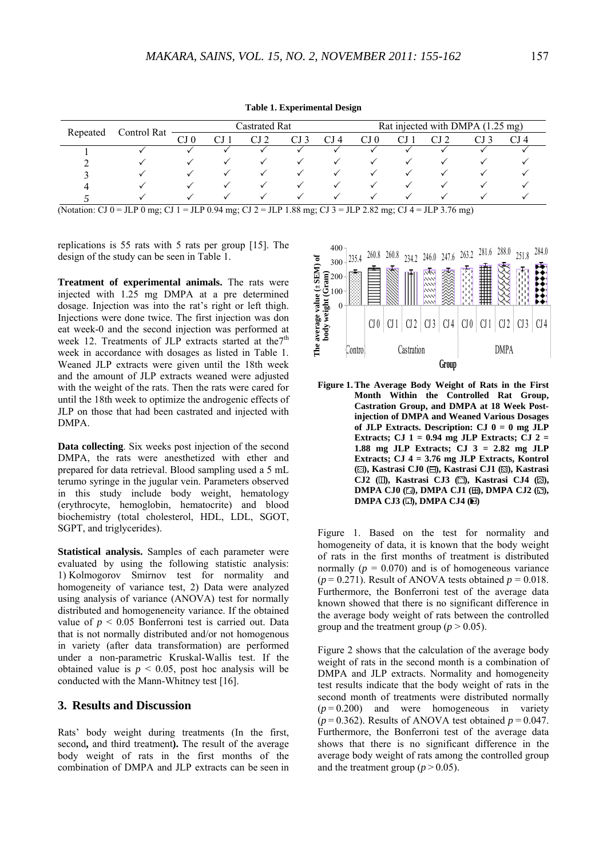**Table 1. Experimental Design** 

| Repeated | Control Rat | <b>Castrated Rat</b> |   |  |              |                 | Rat injected with DMPA (1.25 mg) |  |  |  |      |
|----------|-------------|----------------------|---|--|--------------|-----------------|----------------------------------|--|--|--|------|
|          |             | CJ 0                 |   |  |              | CJ <sub>4</sub> | CJ 0                             |  |  |  | CJ 4 |
|          |             |                      |   |  |              |                 |                                  |  |  |  |      |
|          |             |                      |   |  |              |                 |                                  |  |  |  |      |
|          |             |                      |   |  | $\checkmark$ |                 |                                  |  |  |  |      |
|          |             |                      | ✓ |  | $\checkmark$ |                 |                                  |  |  |  |      |
|          |             |                      |   |  |              |                 |                                  |  |  |  |      |

(Notation: CJ 0 = JLP 0 mg; CJ 1 = JLP 0.94 mg; CJ 2 = JLP 1.88 mg; CJ 3 = JLP 2.82 mg; CJ 4 = JLP 3.76 mg)

replications is 55 rats with 5 rats per group [15]. The design of the study can be seen in Table 1.

**Treatment of experimental animals.** The rats were injected with 1.25 mg DMPA at a pre determined dosage. Injection was into the rat's right or left thigh. Injections were done twice. The first injection was don eat week-0 and the second injection was performed at week 12. Treatments of JLP extracts started at the<sup>7th</sup> week in accordance with dosages as listed in Table 1. Weaned JLP extracts were given until the 18th week and the amount of JLP extracts weaned were adjusted with the weight of the rats. Then the rats were cared for until the 18th week to optimize the androgenic effects of JLP on those that had been castrated and injected with DMPA.

**Data collecting**. Six weeks post injection of the second DMPA, the rats were anesthetized with ether and prepared for data retrieval. Blood sampling used a 5 mL terumo syringe in the jugular vein. Parameters observed in this study include body weight, hematology (erythrocyte, hemoglobin, hematocrite) and blood biochemistry (total cholesterol, HDL, LDL, SGOT, SGPT, and triglycerides).

**Statistical analysis.** Samples of each parameter were evaluated by using the following statistic analysis: 1) Kolmogorov Smirnov test for normality and homogeneity of variance test, 2) Data were analyzed using analysis of variance (ANOVA) test for normally distributed and homogeneneity variance. If the obtained value of  $p < 0.05$  Bonferroni test is carried out. Data that is not normally distributed and/or not homogenous in variety (after data transformation) are performed under a non-parametric Kruskal-Wallis test. If the obtained value is  $p < 0.05$ , post hoc analysis will be conducted with the Mann-Whitney test [16].

#### **3. Results and Discussion**

Rats' body weight during treatments (In the first, second**,** and third treatment**).** The result of the average body weight of rats in the first months of the combination of DMPA and JLP extracts can be seen in



**Figure 1. The Average Body Weight of Rats in the First Month Within the Controlled Rat Group, Castration Group, and DMPA at 18 Week Postinjection of DMPA and Weaned Various Dosages of JLP Extracts. Description: CJ 0 = 0 mg JLP Extracts; CJ 1 = 0.94 mg JLP Extracts; CJ 2 = 1.88 mg JLP Extracts; CJ 3 = 2.82 mg JLP Extracts; CJ 4 = 3.76 mg JLP Extracts, Kontrol (** $\boxdot$ **)**, Kastrasi CJ0 ( $\boxdot$ ), Kastrasi CJ1 ( $\boxdot$ ), Kastrasi CJ2 (II), Kastrasi CJ3 ( $\Box$ ), Kastrasi CJ4 ( $\boxtimes$ ), **DMPA CJ0 (2), DMPA CJ1 (H), DMPA CJ2 (S), DMPA CJ3 (** $\square$ **), DMPA CJ4 (** $\square$ **)** 

Figure 1. Based on the test for normality and homogeneity of data, it is known that the body weight of rats in the first months of treatment is distributed normally  $(p = 0.070)$  and is of homogeneous variance  $(p = 0.271)$ . Result of ANOVA tests obtained  $p = 0.018$ . Furthermore, the Bonferroni test of the average data known showed that there is no significant difference in the average body weight of rats between the controlled group and the treatment group ( $p > 0.05$ ).

Figure 2 shows that the calculation of the average body weight of rats in the second month is a combination of DMPA and JLP extracts. Normality and homogeneity test results indicate that the body weight of rats in the second month of treatments were distributed normally  $(p=0.200)$  and were homogeneous in variety  $(p=0.362)$ . Results of ANOVA test obtained  $p=0.047$ . Furthermore, the Bonferroni test of the average data shows that there is no significant difference in the average body weight of rats among the controlled group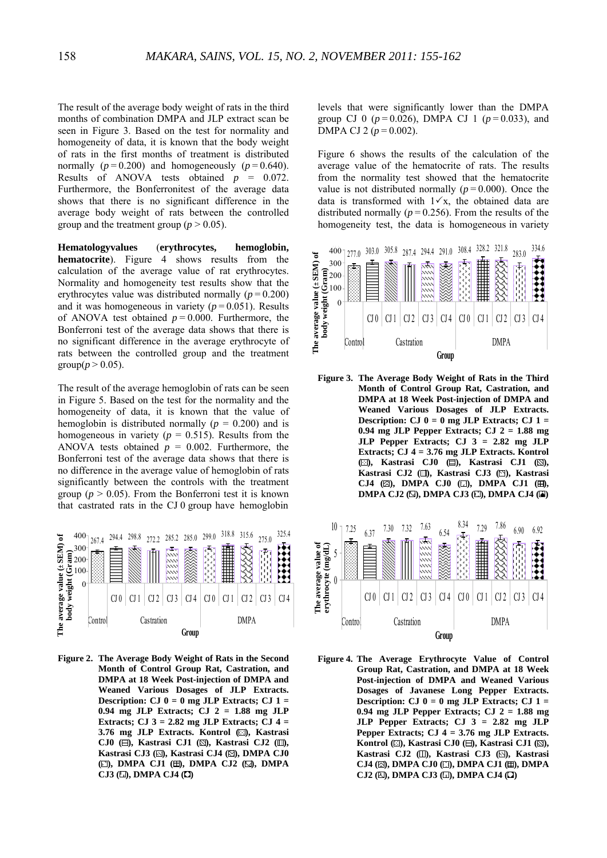The result of the average body weight of rats in the third months of combination DMPA and JLP extract scan be seen in Figure 3. Based on the test for normality and homogeneity of data, it is known that the body weight of rats in the first months of treatment is distributed normally  $(p=0.200)$  and homogeneously  $(p=0.640)$ . Results of ANOVA tests obtained  $p = 0.072$ . Furthermore, the Bonferronitest of the average data shows that there is no significant difference in the average body weight of rats between the controlled group and the treatment group ( $p > 0.05$ ).

**Hematologyvalues** (**erythrocytes, hemoglobin, hematocrite**). Figure 4 shows results from the calculation of the average value of rat erythrocytes. Normality and homogeneity test results show that the erythrocytes value was distributed normally  $(p = 0.200)$ and it was homogeneous in variety  $(p = 0.051)$ . Results of ANOVA test obtained  $p = 0.000$ . Furthermore, the Bonferroni test of the average data shows that there is no significant difference in the average erythrocyte of rats between the controlled group and the treatment group( $p > 0.05$ ).

The result of the average hemoglobin of rats can be seen in Figure 5. Based on the test for the normality and the homogeneity of data, it is known that the value of hemoglobin is distributed normally ( $p = 0.200$ ) and is homogeneous in variety ( $p = 0.515$ ). Results from the ANOVA tests obtained  $p = 0.002$ . Furthermore, the Bonferroni test of the average data shows that there is no difference in the average value of hemoglobin of rats significantly between the controls with the treatment group ( $p > 0.05$ ). From the Bonferroni test it is known that castrated rats in the CJ 0 group have hemoglobin



**Figure 2. The Average Body Weight of Rats in the Second Month of Control Group Rat, Castration, and DMPA at 18 Week Post-injection of DMPA and Weaned Various Dosages of JLP Extracts. Description: CJ 0 = 0 mg JLP Extracts; CJ 1 = 0.94 mg JLP Extracts; CJ 2 = 1.88 mg JLP Extracts; CJ 3 = 2.82 mg JLP Extracts; CJ 4 =**  3.76 mg JLP Extracts. Kontrol (**E**), Kastrasi CJ0 (**E**), Kastrasi CJ1 ( $\boxtimes$ ), Kastrasi CJ2 ( $\boxplus$ ), Kastrasi CJ3 ( $\boxdot$ ), Kastrasi CJ4 ( $\boxdot$ ), DMPA CJ0 **( ), DMPA CJ1 ( ), DMPA CJ2 ( ), DMPA CJ3 ( ), DMPA CJ4 ( )**

levels that were significantly lower than the DMPA group CJ 0  $(p = 0.026)$ , DMPA CJ 1  $(p = 0.033)$ , and DMPA CJ 2 ( $p = 0.002$ ).

Figure 6 shows the results of the calculation of the average value of the hematocrite of rats. The results from the normality test showed that the hematocrite value is not distributed normally  $(p = 0.000)$ . Once the data is transformed with  $1 \times x$ , the obtained data are distributed normally ( $p = 0.256$ ). From the results of the homogeneity test, the data is homogeneous in variety



**Figure 3. The Average Body Weight of Rats in the Third Month of Control Group Rat, Castration, and DMPA at 18 Week Post-injection of DMPA and Weaned Various Dosages of JLP Extracts. Description:** CJ  $0 = 0$  mg JLP Extracts; CJ  $1 =$ **0.94 mg JLP Pepper Extracts; CJ 2 = 1.88 mg JLP Pepper Extracts; CJ 3 = 2.82 mg JLP Extracts; CJ 4 = 3.76 mg JLP Extracts. Kontrol (** $\boxdot$ **)**, Kastrasi CJ0 ( $\boxdot$ ), Kastrasi CJ1 ( $\boxdot$ ), Kastrasi CJ2 (II), Kastrasi CJ3 ( $\textcircled{1}$ ), Kastrasi CJ4 ( $\boxtimes$ ), DMPA CJ0 ( $\boxdot$ ), DMPA CJ1 ( $\boxplus$ ), **DMPA CJ2 (** $\boxtimes$ **), DMPA CJ3 (** $\boxdot$ **), DMPA CJ4 (** $\boxdot$ **)** 



**Figure 4. The Average Erythrocyte Value of Control Group Rat, Castration, and DMPA at 18 Week Post-injection of DMPA and Weaned Various Dosages of Javanese Long Pepper Extracts. Description:** CJ  $0 = 0$  mg JLP Extracts; CJ  $1 =$ **0.94 mg JLP Pepper Extracts; CJ 2 = 1.88 mg JLP Pepper Extracts; CJ 3 = 2.82 mg JLP Pepper Extracts; CJ 4 = 3.76 mg JLP Extracts.**  Kontrol ( $\boxtimes$ ), Kastrasi CJ0 ( $\boxminus$ ), Kastrasi CJ1 ( $\boxtimes$ ), Kastrasi CJ2 (II), Kastrasi CJ3 (<sup>S]</sup>), Kastrasi CJ4 ( $\boxtimes$ ), DMPA CJ0 ( $\boxdot$ ), DMPA CJ1 ( $\boxplus$ ), DMPA CJ2 ( $\boxtimes$ ), DMPA CJ3 ( $\boxdot$ ), DMPA CJ4 ( $\Box$ )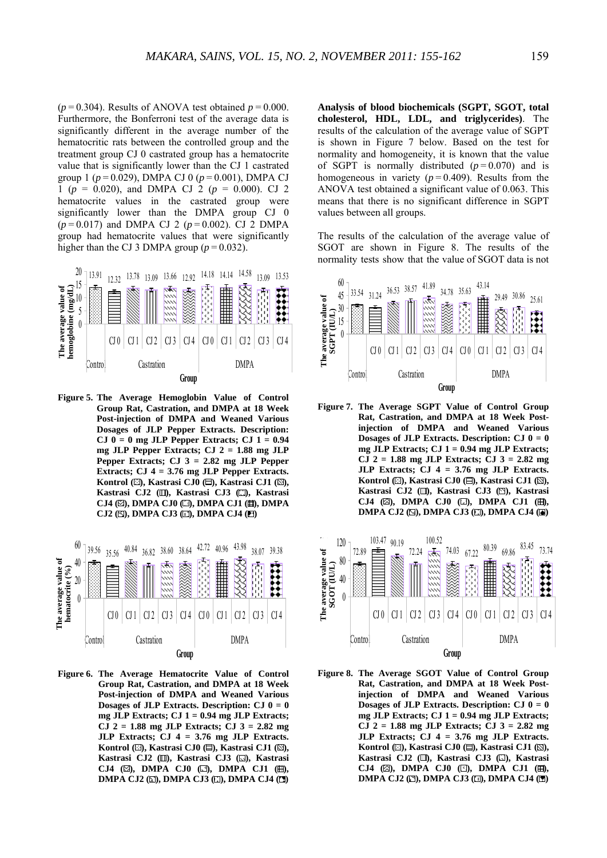$(p=0.304)$ . Results of ANOVA test obtained  $p=0.000$ . Furthermore, the Bonferroni test of the average data is significantly different in the average number of the hematocritic rats between the controlled group and the treatment group CJ 0 castrated group has a hematocrite value that is significantly lower than the CJ 1 castrated group 1 ( $p = 0.029$ ), DMPA CJ 0 ( $p = 0.001$ ), DMPA CJ 1 ( $p = 0.020$ ), and DMPA CJ 2 ( $p = 0.000$ ). CJ 2 hematocrite values in the castrated group were significantly lower than the DMPA group CJ 0  $(p=0.017)$  and DMPA CJ 2  $(p=0.002)$ . CJ 2 DMPA group had hematocrite values that were significantly higher than the CJ 3 DMPA group  $(p = 0.032)$ .



**Figure 5. The Average Hemoglobin Value of Control Group Rat, Castration, and DMPA at 18 Week Post-injection of DMPA and Weaned Various Dosages of JLP Pepper Extracts. Description: CJ 0 = 0 mg JLP Pepper Extracts; CJ 1 = 0.94 mg JLP Pepper Extracts; CJ 2 = 1.88 mg JLP Pepper Extracts; CJ 3 = 2.82 mg JLP Pepper Extracts; CJ 4 = 3.76 mg JLP Pepper Extracts.**  Kontrol (**E**), Kastrasi CJ0 (**E**), Kastrasi CJ1 (**N**), Kastrasi CJ2 (II), Kastrasi CJ3 (II), Kastrasi CJ4 (**E**), DMPA CJ0 (**E**), DMPA CJ1 (**H**), DMPA CJ2 ( $\boxtimes$ ), DMPA CJ3 ( $\boxdot$ ), DMPA CJ4 ( $\boxdot$ )



**Figure 6. The Average Hematocrite Value of Control Group Rat, Castration, and DMPA at 18 Week Post-injection of DMPA and Weaned Various Dosages of JLP Extracts. Description: CJ 0 = 0 mg JLP Extracts; CJ 1 = 0.94 mg JLP Extracts; CJ 2 = 1.88 mg JLP Extracts; CJ 3 = 2.82 mg JLP Extracts; CJ 4 = 3.76 mg JLP Extracts.**  Kontrol (**E**), Kastrasi CJ0 (**E**), Kastrasi CJ1 (**S**), Kastrasi CJ2 (II), Kastrasi CJ3 (I), Kastrasi **CJ4 (2), DMPA CJ0 (3), DMPA CJ1 (H), DMPA CJ2 (** $\boxtimes$ **), DMPA CJ3 (** $\boxtimes$ **), DMPA CJ4 (** $\boxtimes$ **)** 

**Analysis of blood biochemicals (SGPT, SGOT, total cholesterol, HDL, LDL, and triglycerides)**. The results of the calculation of the average value of SGPT is shown in Figure 7 below. Based on the test for normality and homogeneity, it is known that the value of SGPT is normally distributed  $(p=0.070)$  and is homogeneous in variety  $(p=0.409)$ . Results from the ANOVA test obtained a significant value of 0.063. This means that there is no significant difference in SGPT values between all groups.

The results of the calculation of the average value of SGOT are shown in Figure 8. The results of the normality tests show that the value of SGOT data is not



**Figure 7. The Average SGPT Value of Control Group Rat, Castration, and DMPA at 18 Week Postinjection of DMPA and Weaned Various Dosages of JLP Extracts. Description: CJ 0 = 0 mg JLP Extracts; CJ 1 = 0.94 mg JLP Extracts; CJ 2 = 1.88 mg JLP Extracts; CJ 3 = 2.82 mg JLP Extracts; CJ 4 = 3.76 mg JLP Extracts.**  Kontrol (**E**), Kastrasi CJ0 (**E**), Kastrasi CJ1 (**N**), Kastrasi CJ2 (II), Kastrasi CJ3 ( $\textcircled{S}$ ), Kastrasi CJ4 ( $\boxtimes$ ), DMPA CJ0 ( $\boxdot$ ), DMPA CJ1 ( $\boxplus$ ), **DMPA CJ2 (** $\boxtimes$ **), DMPA CJ3 (** $\boxdot$ **), DMPA CJ4 (** $\boxdot$ **)** 



**Figure 8. The Average SGOT Value of Control Group Rat, Castration, and DMPA at 18 Week Postinjection of DMPA and Weaned Various Dosages of JLP Extracts. Description: CJ 0 = 0 mg JLP Extracts; CJ 1 = 0.94 mg JLP Extracts; CJ 2 = 1.88 mg JLP Extracts; CJ 3 = 2.82 mg JLP Extracts; CJ 4 = 3.76 mg JLP Extracts.**  Kontrol ( $\Box$ ), Kastrasi CJ0 ( $\Box$ ), Kastrasi CJ1 ( $\Box$ ), Kastrasi CJ2 (II), Kastrasi CJ3 (II), Kastrasi CJ4 ( $\boxtimes$ ), DMPA CJ0 ( $\boxdot$ ), DMPA CJ1 ( $\boxplus$ ), **DMPA CJ2 (E), DMPA CJ3 (E), DMPA CJ4 (E)**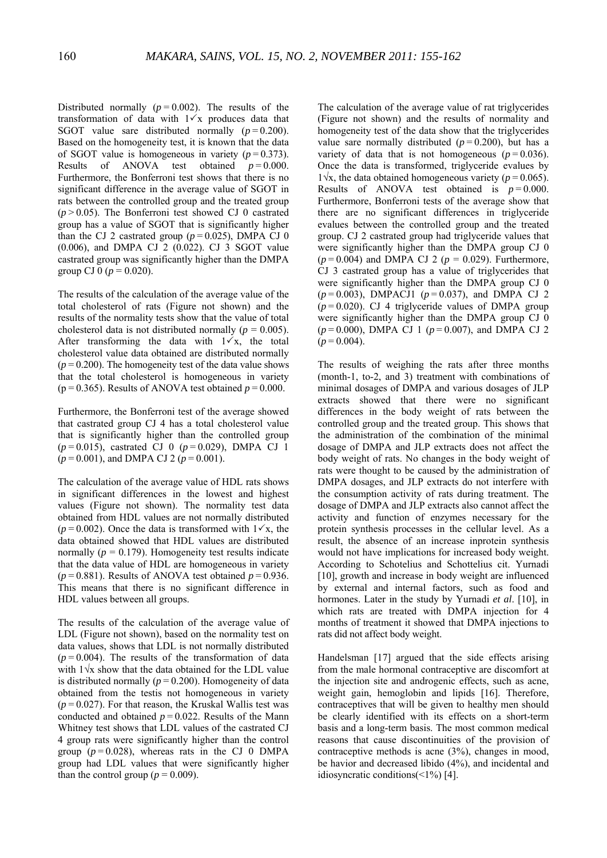Distributed normally  $(p = 0.002)$ . The results of the transformation of data with  $1\sqrt{x}$  produces data that SGOT value sare distributed normally  $(p=0.200)$ . Based on the homogeneity test, it is known that the data of SGOT value is homogeneous in variety  $(p=0.373)$ . Results of ANOVA test obtained  $p = 0.000$ . Furthermore, the Bonferroni test shows that there is no significant difference in the average value of SGOT in rats between the controlled group and the treated group  $(p > 0.05)$ . The Bonferroni test showed CJ 0 castrated group has a value of SGOT that is significantly higher than the CJ 2 castrated group  $(p=0.025)$ , DMPA CJ 0 (0.006), and DMPA CJ 2 (0.022). CJ 3 SGOT value castrated group was significantly higher than the DMPA group CJ 0 ( $p = 0.020$ ).

The results of the calculation of the average value of the total cholesterol of rats (Figure not shown) and the results of the normality tests show that the value of total cholesterol data is not distributed normally ( $p = 0.005$ ). After transforming the data with  $1\overline{3}x$ , the total cholesterol value data obtained are distributed normally  $(p = 0.200)$ . The homogeneity test of the data value shows that the total cholesterol is homogeneous in variety ( $p = 0.365$ ). Results of ANOVA test obtained  $p = 0.000$ .

Furthermore, the Bonferroni test of the average showed that castrated group CJ 4 has a total cholesterol value that is significantly higher than the controlled group (*p* = 0.015), castrated CJ 0 (*p* = 0.029), DMPA CJ 1  $(p = 0.001)$ , and DMPA CJ 2  $(p = 0.001)$ .

The calculation of the average value of HDL rats shows in significant differences in the lowest and highest values (Figure not shown). The normality test data obtained from HDL values are not normally distributed  $(p=0.002)$ . Once the data is transformed with  $1\sqrt{x}$ , the data obtained showed that HDL values are distributed normally  $(p = 0.179)$ . Homogeneity test results indicate that the data value of HDL are homogeneous in variety  $(p=0.881)$ . Results of ANOVA test obtained  $p=0.936$ . This means that there is no significant difference in HDL values between all groups.

The results of the calculation of the average value of LDL (Figure not shown), based on the normality test on data values, shows that LDL is not normally distributed  $(p=0.004)$ . The results of the transformation of data with 1√x show that the data obtained for the LDL value is distributed normally  $(p = 0.200)$ . Homogeneity of data obtained from the testis not homogeneous in variety  $(p=0.027)$ . For that reason, the Kruskal Wallis test was conducted and obtained  $p = 0.022$ . Results of the Mann Whitney test shows that LDL values of the castrated CJ 4 group rats were significantly higher than the control group  $(p=0.028)$ , whereas rats in the CJ 0 DMPA group had LDL values that were significantly higher than the control group ( $p = 0.009$ ).

The calculation of the average value of rat triglycerides (Figure not shown) and the results of normality and homogeneity test of the data show that the triglycerides value sare normally distributed  $(p=0.200)$ , but has a variety of data that is not homogeneous  $(p=0.036)$ . Once the data is transformed, triglyceride evalues by  $1\sqrt{x}$ , the data obtained homogeneous variety ( $p = 0.065$ ). Results of ANOVA test obtained is  $p = 0.000$ . Furthermore, Bonferroni tests of the average show that there are no significant differences in triglyceride evalues between the controlled group and the treated group. CJ 2 castrated group had triglyceride values that were significantly higher than the DMPA group CJ 0  $(p = 0.004)$  and DMPA CJ 2 ( $p = 0.029$ ). Furthermore, CJ 3 castrated group has a value of triglycerides that were significantly higher than the DMPA group CJ 0 (*p* = 0.003), DMPACJ1 (*p* = 0.037), and DMPA CJ 2  $(p=0.020)$ . CJ 4 triglyceride values of DMPA group were significantly higher than the DMPA group CJ 0  $(p=0.000)$ , DMPA CJ 1  $(p=0.007)$ , and DMPA CJ 2  $(p=0.004)$ .

The results of weighing the rats after three months (month-1, to-2, and 3) treatment with combinations of minimal dosages of DMPA and various dosages of JLP extracts showed that there were no significant differences in the body weight of rats between the controlled group and the treated group. This shows that the administration of the combination of the minimal dosage of DMPA and JLP extracts does not affect the body weight of rats. No changes in the body weight of rats were thought to be caused by the administration of DMPA dosages, and JLP extracts do not interfere with the consumption activity of rats during treatment. The dosage of DMPA and JLP extracts also cannot affect the activity and function of enzymes necessary for the protein synthesis processes in the cellular level. As a result, the absence of an increase inprotein synthesis would not have implications for increased body weight. According to Schotelius and Schottelius cit. Yurnadi [10], growth and increase in body weight are influenced by external and internal factors, such as food and hormones. Later in the study by Yurnadi *et al*. [10], in which rats are treated with DMPA injection for 4 months of treatment it showed that DMPA injections to rats did not affect body weight.

Handelsman [17] argued that the side effects arising from the male hormonal contraceptive are discomfort at the injection site and androgenic effects, such as acne, weight gain, hemoglobin and lipids [16]. Therefore, contraceptives that will be given to healthy men should be clearly identified with its effects on a short-term basis and a long-term basis. The most common medical reasons that cause discontinuities of the provision of contraceptive methods is acne (3%), changes in mood, be havior and decreased libido (4%), and incidental and idiosyncratic conditions(<1%) [4].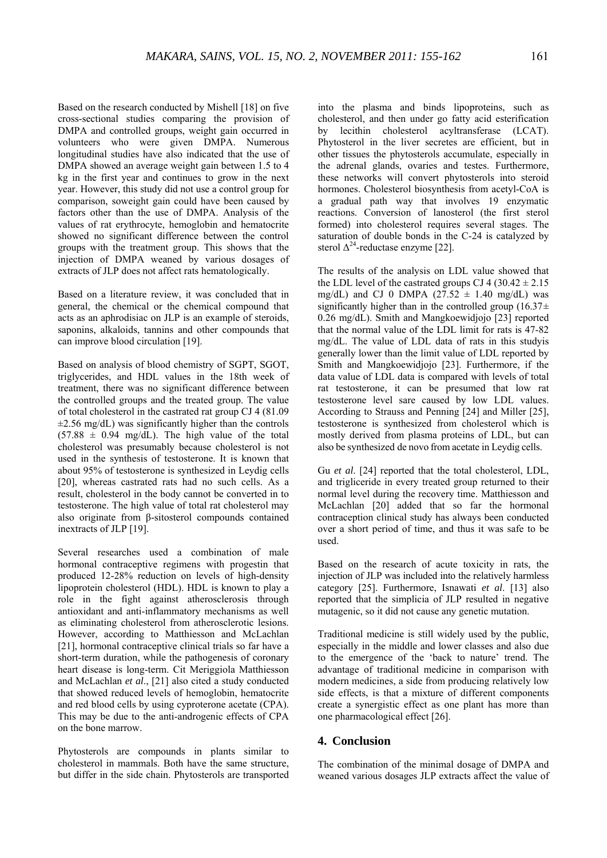Based on the research conducted by Mishell [18] on five cross-sectional studies comparing the provision of DMPA and controlled groups, weight gain occurred in volunteers who were given DMPA. Numerous longitudinal studies have also indicated that the use of DMPA showed an average weight gain between 1.5 to 4 kg in the first year and continues to grow in the next year. However, this study did not use a control group for comparison, soweight gain could have been caused by factors other than the use of DMPA. Analysis of the values of rat erythrocyte, hemoglobin and hematocrite showed no significant difference between the control groups with the treatment group. This shows that the injection of DMPA weaned by various dosages of extracts of JLP does not affect rats hematologically.

Based on a literature review, it was concluded that in general, the chemical or the chemical compound that acts as an aphrodisiac on JLP is an example of steroids, saponins, alkaloids, tannins and other compounds that can improve blood circulation [19].

Based on analysis of blood chemistry of SGPT, SGOT, triglycerides, and HDL values in the 18th week of treatment, there was no significant difference between the controlled groups and the treated group. The value of total cholesterol in the castrated rat group CJ 4 (81.09  $\pm$ 2.56 mg/dL) was significantly higher than the controls  $(57.88 \pm 0.94 \text{ mg/dL})$ . The high value of the total cholesterol was presumably because cholesterol is not used in the synthesis of testosterone. It is known that about 95% of testosterone is synthesized in Leydig cells [20], whereas castrated rats had no such cells. As a result, cholesterol in the body cannot be converted in to testosterone. The high value of total rat cholesterol may also originate from β-sitosterol compounds contained inextracts of JLP [19].

Several researches used a combination of male hormonal contraceptive regimens with progestin that produced 12-28% reduction on levels of high-density lipoprotein cholesterol (HDL). HDL is known to play a role in the fight against atherosclerosis through antioxidant and anti-inflammatory mechanisms as well as eliminating cholesterol from atherosclerotic lesions. However, according to Matthiesson and McLachlan [21], hormonal contraceptive clinical trials so far have a short-term duration, while the pathogenesis of coronary heart disease is long-term. Cit Meriggiola Matthiesson and McLachlan *et al*., [21] also cited a study conducted that showed reduced levels of hemoglobin, hematocrite and red blood cells by using cyproterone acetate (CPA). This may be due to the anti-androgenic effects of CPA on the bone marrow.

Phytosterols are compounds in plants similar to cholesterol in mammals. Both have the same structure, but differ in the side chain. Phytosterols are transported into the plasma and binds lipoproteins, such as cholesterol, and then under go fatty acid esterification by lecithin cholesterol acyltransferase (LCAT). Phytosterol in the liver secretes are efficient, but in other tissues the phytosterols accumulate, especially in the adrenal glands, ovaries and testes. Furthermore, these networks will convert phytosterols into steroid hormones. Cholesterol biosynthesis from acetyl-CoA is a gradual path way that involves 19 enzymatic reactions. Conversion of lanosterol (the first sterol formed) into cholesterol requires several stages. The saturation of double bonds in the C-24 is catalyzed by sterol  $\Delta^{24}$ -reductase enzyme [22].

The results of the analysis on LDL value showed that the LDL level of the castrated groups CJ 4 (30.42  $\pm$  2.15) mg/dL) and CJ 0 DMPA  $(27.52 \pm 1.40 \text{ mg/dL})$  was significantly higher than in the controlled group  $(16.37\pm$ 0.26 mg/dL). Smith and Mangkoewidjojo [23] reported that the normal value of the LDL limit for rats is 47-82 mg/dL. The value of LDL data of rats in this studyis generally lower than the limit value of LDL reported by Smith and Mangkoewidjojo [23]. Furthermore, if the data value of LDL data is compared with levels of total rat testosterone, it can be presumed that low rat testosterone level sare caused by low LDL values. According to Strauss and Penning [24] and Miller [25], testosterone is synthesized from cholesterol which is mostly derived from plasma proteins of LDL, but can also be synthesized de novo from acetate in Leydig cells.

Gu *et al*. [24] reported that the total cholesterol, LDL, and trigliceride in every treated group returned to their normal level during the recovery time. Matthiesson and McLachlan [20] added that so far the hormonal contraception clinical study has always been conducted over a short period of time, and thus it was safe to be used.

Based on the research of acute toxicity in rats, the injection of JLP was included into the relatively harmless category [25]. Furthermore, Isnawati *et al*. [13] also reported that the simplicia of JLP resulted in negative mutagenic, so it did not cause any genetic mutation.

Traditional medicine is still widely used by the public, especially in the middle and lower classes and also due to the emergence of the 'back to nature' trend. The advantage of traditional medicine in comparison with modern medicines, a side from producing relatively low side effects, is that a mixture of different components create a synergistic effect as one plant has more than one pharmacological effect [26].

### **4. Conclusion**

The combination of the minimal dosage of DMPA and weaned various dosages JLP extracts affect the value of